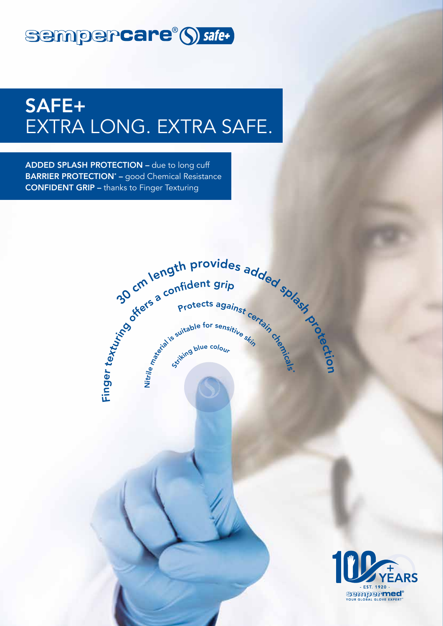## sempercare®() safe+

# SAFE+ EXTRA LONG. EXTRA SAFE.

ADDED SPLASH PROTECTION – due to long cuff **BARRIER PROTECTION<sup>\*</sup>** – good Chemical Resistance CONFIDENT GRIP – thanks to Finger Texturing